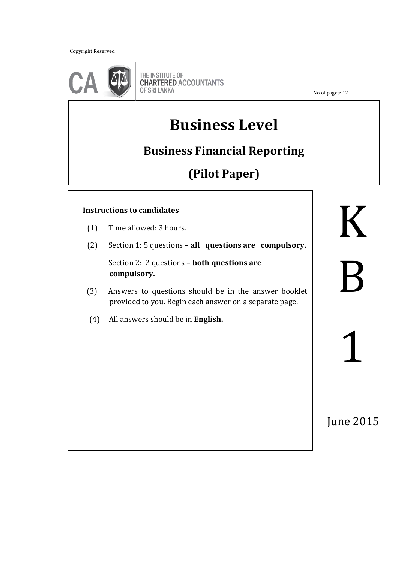Copyright Reserved



THE INSTITUTE OF **CHARTERED ACCOUNTANTS OF SRI LANKA** 

No of pages: 12

# **Business Level**

## **Business Financial Reporting**

## **(Pilot Paper)**

## **Instructions to candidates**

- (1) Time allowed: 3 hours.
- (2) Section 1: 5 questions **all questions are compulsory.**

֪֖֚֚֬֝֬֝֬֝֬֝֬֝

 Section 2: 2 questions – **both questions are compulsory.**

- (3) Answers to questions should be in the answer booklet provided to you. Begin each answer on a separate page.
- (4) All answers should be in **English.**

K  $\mathsf B$ 1

June 2015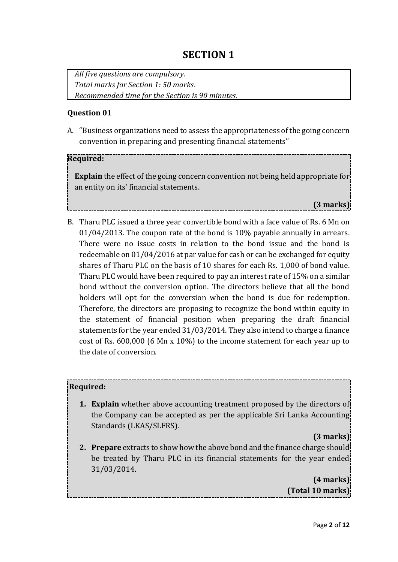*All five questions are compulsory. Total marks for Section 1: 50 marks. Recommended time for the Section is 90 minutes.*

## **Question 01**

A. "Business organizations need to assess the appropriateness of the going concern convention in preparing and presenting financial statements"

#### **Required:**

**Explain** the effect of the going concern convention not being held appropriate for an entity on its' financial statements.

**(3 marks)**

B. Tharu PLC issued a three year convertible bond with a face value of Rs. 6 Mn on 01/04/2013. The coupon rate of the bond is 10% payable annually in arrears. There were no issue costs in relation to the bond issue and the bond is redeemable on 01/04/2016 at par value for cash or can be exchanged for equity shares of Tharu PLC on the basis of 10 shares for each Rs. 1,000 of bond value. Tharu PLC would have been required to pay an interest rate of 15% on a similar bond without the conversion option. The directors believe that all the bond holders will opt for the conversion when the bond is due for redemption. Therefore, the directors are proposing to recognize the bond within equity in the statement of financial position when preparing the draft financial statements for the year ended 31/03/2014. They also intend to charge a finance cost of Rs. 600,000 (6 Mn x 10%) to the income statement for each year up to the date of conversion.

#### **Required:**

**1. Explain** whether above accounting treatment proposed by the directors of the Company can be accepted as per the applicable Sri Lanka Accounting Standards (LKAS/SLFRS).

## **(3 marks)**

**2. Prepare** extracts to show how the above bond and the finance charge should be treated by Tharu PLC in its financial statements for the year ended 31/03/2014.

> **(4 marks) (Total 10 marks)**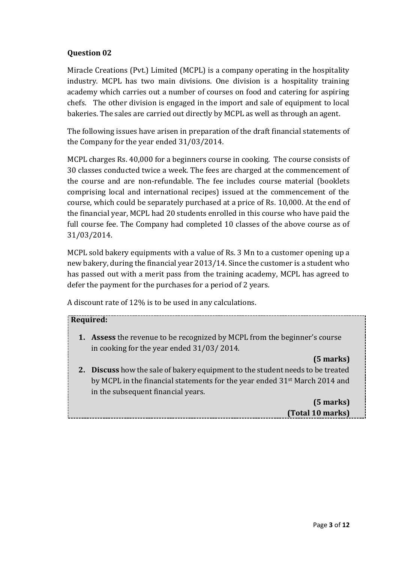Miracle Creations (Pvt.) Limited (MCPL) is a company operating in the hospitality industry. MCPL has two main divisions. One division is a hospitality training academy which carries out a number of courses on food and catering for aspiring chefs. The other division is engaged in the import and sale of equipment to local bakeries. The sales are carried out directly by MCPL as well as through an agent.

The following issues have arisen in preparation of the draft financial statements of the Company for the year ended 31/03/2014.

MCPL charges Rs. 40,000 for a beginners course in cooking. The course consists of 30 classes conducted twice a week. The fees are charged at the commencement of the course and are non-refundable. The fee includes course material (booklets comprising local and international recipes) issued at the commencement of the course, which could be separately purchased at a price of Rs. 10,000. At the end of the financial year, MCPL had 20 students enrolled in this course who have paid the full course fee. The Company had completed 10 classes of the above course as of 31/03/2014.

MCPL sold bakery equipments with a value of Rs. 3 Mn to a customer opening up a new bakery, during the financial year 2013/14. Since the customer is a student who has passed out with a merit pass from the training academy, MCPL has agreed to defer the payment for the purchases for a period of 2 years.

A discount rate of 12% is to be used in any calculations.

#### **Required:**

- **1. Assess** the revenue to be recognized by MCPL from the beginner's course in cooking for the year ended 31/03/ 2014.
- **(5 marks) 2. Discuss** how the sale of bakery equipment to the student needs to be treated by MCPL in the financial statements for the year ended 31st March 2014 and in the subsequent financial years.

**(5 marks) (Total 10 marks)**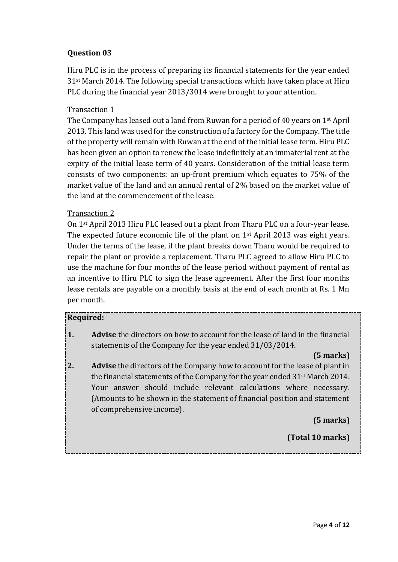Hiru PLC is in the process of preparing its financial statements for the year ended 31st March 2014. The following special transactions which have taken place at Hiru PLC during the financial year 2013/3014 were brought to your attention.

#### Transaction 1

The Company has leased out a land from Ruwan for a period of 40 years on 1st April 2013. This land was used for the construction of a factory for the Company. The title of the property will remain with Ruwan at the end of the initial lease term. Hiru PLC has been given an option to renew the lease indefinitely at an immaterial rent at the expiry of the initial lease term of 40 years. Consideration of the initial lease term consists of two components: an up-front premium which equates to 75% of the market value of the land and an annual rental of 2% based on the market value of the land at the commencement of the lease.

#### Transaction 2

On 1st April 2013 Hiru PLC leased out a plant from Tharu PLC on a four-year lease. The expected future economic life of the plant on 1st April 2013 was eight years. Under the terms of the lease, if the plant breaks down Tharu would be required to repair the plant or provide a replacement. Tharu PLC agreed to allow Hiru PLC to use the machine for four months of the lease period without payment of rental as an incentive to Hiru PLC to sign the lease agreement. After the first four months lease rentals are payable on a monthly basis at the end of each month at Rs. 1 Mn per month.

## **Required:**

**1. Advise** the directors on how to account for the lease of land in the financial statements of the Company for the year ended 31/03/2014.

## **(5 marks)**

**2. Advise** the directors of the Company how to account for the lease of plant in the financial statements of the Company for the year ended 31st March 2014. Your answer should include relevant calculations where necessary. (Amounts to be shown in the statement of financial position and statement of comprehensive income).

**(5 marks)**

**(Total 10 marks)**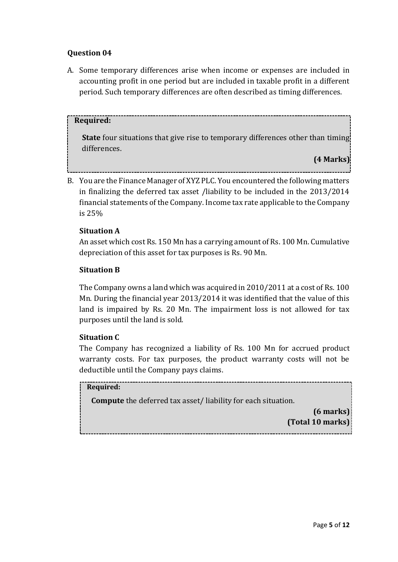A. Some temporary differences arise when income or expenses are included in accounting profit in one period but are included in taxable profit in a different period. Such temporary differences are often described as timing differences.

#### **Required:**

**State** four situations that give rise to temporary differences other than timing! differences.

**(4 Marks)**

B. You are the Finance Manager of XYZ PLC. You encountered the following matters in finalizing the deferred tax asset /liability to be included in the 2013/2014 financial statements of the Company. Income tax rate applicable to the Company is 25%

#### **Situation A**

An asset which cost Rs. 150 Mn has a carrying amount of Rs. 100 Mn. Cumulative depreciation of this asset for tax purposes is Rs. 90 Mn.

#### **Situation B**

The Company owns a land which was acquired in 2010/2011 at a cost of Rs. 100 Mn. During the financial year 2013/2014 it was identified that the value of this land is impaired by Rs. 20 Mn. The impairment loss is not allowed for tax purposes until the land is sold.

#### **Situation C**

The Company has recognized a liability of Rs. 100 Mn for accrued product warranty costs. For tax purposes, the product warranty costs will not be deductible until the Company pays claims.

#### **Required:**

 **Compute** the deferred tax asset/ liability for each situation.

**(6 marks) (Total 10 marks)**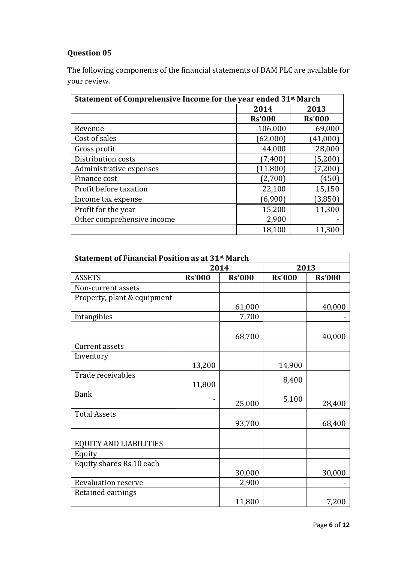The following components of the financial statements of DAM PLC are available for your review.

| Statement of Comprehensive Income for the year ended 31 <sup>st</sup> March |               |               |
|-----------------------------------------------------------------------------|---------------|---------------|
|                                                                             | 2014          | 2013          |
|                                                                             | <b>Rs'000</b> | <b>Rs'000</b> |
| Revenue                                                                     | 106,000       | 69,000        |
| Cost of sales                                                               | (62,000)      | (41,000)      |
| Gross profit                                                                | 44,000        | 28,000        |
| Distribution costs                                                          | (7, 400)      | (5,200)       |
| Administrative expenses                                                     | (11,800)      | (7,200)       |
| Finance cost                                                                | (2,700)       | (450)         |
| Profit before taxation                                                      | 22,100        | 15,150        |
| Income tax expense                                                          | (6,900)       | (3, 850)      |
| Profit for the year                                                         | 15,200        | 11,300        |
| Other comprehensive income                                                  | 2,900         |               |
|                                                                             | 18,100        | 11,300        |

| <b>Statement of Financial Position as at 31st March</b> |               |               |               |               |
|---------------------------------------------------------|---------------|---------------|---------------|---------------|
|                                                         | 2014          |               | 2013          |               |
| <b>ASSETS</b>                                           | <b>Rs'000</b> | <b>Rs'000</b> | <b>Rs'000</b> | <b>Rs'000</b> |
| Non-current assets                                      |               |               |               |               |
| Property, plant & equipment                             |               |               |               |               |
|                                                         |               | 61,000        |               | 40,000        |
| Intangibles                                             |               | 7,700         |               |               |
|                                                         |               |               |               |               |
|                                                         |               | 68,700        |               | 40,000        |
| Current assets                                          |               |               |               |               |
| Inventory                                               |               |               |               |               |
|                                                         | 13,200        |               | 14,900        |               |
| Trade receivables                                       |               |               | 8,400         |               |
|                                                         | 11,800        |               |               |               |
| <b>Bank</b>                                             |               |               | 5,100         |               |
|                                                         |               | 25,000        |               | 28,400        |
| <b>Total Assets</b>                                     |               |               |               |               |
|                                                         |               | 93,700        |               | 68,400        |
|                                                         |               |               |               |               |
| EQUITY AND LIABILITIES                                  |               |               |               |               |
| Equity                                                  |               |               |               |               |
| Equity shares Rs.10 each                                |               |               |               |               |
|                                                         |               | 30,000        |               | 30,000        |
| <b>Revaluation reserve</b>                              |               | 2,900         |               |               |
| Retained earnings                                       |               |               |               |               |
|                                                         |               | 11,800        |               | 7,200         |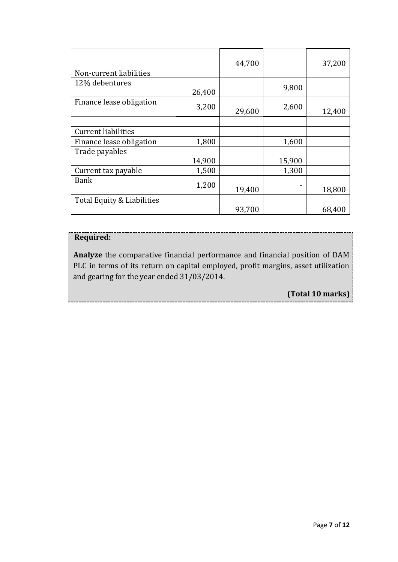|                            |        | 44,700 |        | 37,200 |
|----------------------------|--------|--------|--------|--------|
| Non-current liabilities    |        |        |        |        |
| 12% debentures             |        |        | 9,800  |        |
|                            | 26,400 |        |        |        |
| Finance lease obligation   | 3,200  | 29,600 | 2,600  | 12,400 |
|                            |        |        |        |        |
| <b>Current liabilities</b> |        |        |        |        |
| Finance lease obligation   | 1,800  |        | 1,600  |        |
| Trade payables             |        |        |        |        |
|                            | 14,900 |        | 15,900 |        |
| Current tax payable        | 1,500  |        | 1,300  |        |
| <b>Bank</b>                | 1,200  | 19,400 |        | 18,800 |
| Total Equity & Liabilities |        |        |        |        |
|                            |        | 93,700 |        | 68,400 |

## **Required:**

**Analyze** the comparative financial performance and financial position of DAM PLC in terms of its return on capital employed, profit margins, asset utilization and gearing for the year ended 31/03/2014.

**(Total 10 marks)**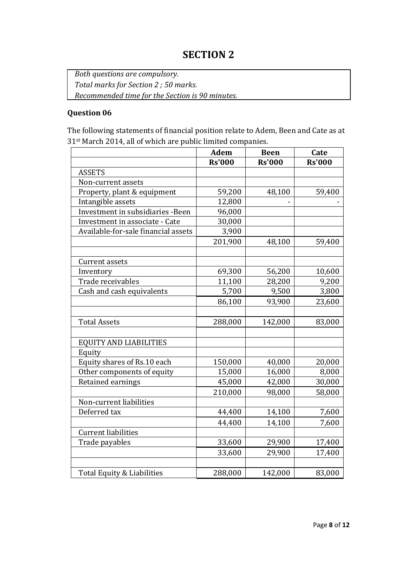*Both questions are compulsory. Total marks for Section 2 ; 50 marks. Recommended time for the Section is 90 minutes.*

## **Question 06**

The following statements of financial position relate to Adem, Been and Cate as at 31st March 2014, all of which are public limited companies.

|                                     | <b>Adem</b>   | <b>Been</b>   | Cate          |
|-------------------------------------|---------------|---------------|---------------|
|                                     | <b>Rs'000</b> | <b>Rs'000</b> | <b>Rs'000</b> |
| <b>ASSETS</b>                       |               |               |               |
| Non-current assets                  |               |               |               |
| Property, plant & equipment         | 59,200        | 48,100        | 59,400        |
| Intangible assets                   | 12,800        |               |               |
| Investment in subsidiaries -Been    | 96,000        |               |               |
| Investment in associate - Cate      | 30,000        |               |               |
| Available-for-sale financial assets | 3,900         |               |               |
|                                     | 201,900       | 48,100        | 59,400        |
|                                     |               |               |               |
| Current assets                      |               |               |               |
| Inventory                           | 69,300        | 56,200        | 10,600        |
| Trade receivables                   | 11,100        | 28,200        | 9,200         |
| Cash and cash equivalents           | 5,700         | 9,500         | 3,800         |
|                                     | 86,100        | 93,900        | 23,600        |
|                                     |               |               |               |
| <b>Total Assets</b>                 | 288,000       | 142,000       | 83,000        |
|                                     |               |               |               |
| <b>EQUITY AND LIABILITIES</b>       |               |               |               |
| Equity                              |               |               |               |
| Equity shares of Rs.10 each         | 150,000       | 40,000        | 20,000        |
| Other components of equity          | 15,000        | 16,000        | 8,000         |
| Retained earnings                   | 45,000        | 42,000        | 30,000        |
|                                     | 210,000       | 98,000        | 58,000        |
| Non-current liabilities             |               |               |               |
| Deferred tax                        | 44,400        | 14,100        | 7,600         |
|                                     | 44,400        | 14,100        | 7,600         |
| <b>Current liabilities</b>          |               |               |               |
| Trade payables                      | 33,600        | 29,900        | 17,400        |
|                                     | 33,600        | 29,900        | 17,400        |
|                                     |               |               |               |
| Total Equity & Liabilities          | 288,000       | 142,000       | 83,000        |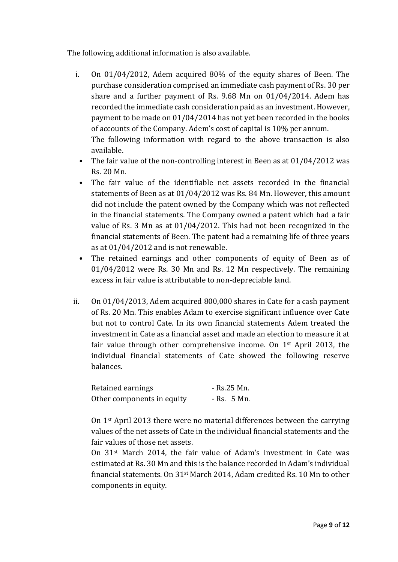The following additional information is also available.

- i. On 01/04/2012, Adem acquired 80% of the equity shares of Been. The purchase consideration comprised an immediate cash payment of Rs. 30 per share and a further payment of Rs. 9.68 Mn on 01/04/2014. Adem has recorded the immediate cash consideration paid as an investment. However, payment to be made on 01/04/2014 has not yet been recorded in the books of accounts of the Company. Adem's cost of capital is 10% per annum. The following information with regard to the above transaction is also available.
- The fair value of the non-controlling interest in Been as at 01/04/2012 was Rs. 20 Mn.
- The fair value of the identifiable net assets recorded in the financial statements of Been as at 01/04/2012 was Rs. 84 Mn. However, this amount did not include the patent owned by the Company which was not reflected in the financial statements. The Company owned a patent which had a fair value of Rs. 3 Mn as at 01/04/2012. This had not been recognized in the financial statements of Been. The patent had a remaining life of three years as at 01/04/2012 and is not renewable.
- The retained earnings and other components of equity of Been as of 01/04/2012 were Rs. 30 Mn and Rs. 12 Mn respectively. The remaining excess in fair value is attributable to non-depreciable land.
- ii. On 01/04/2013, Adem acquired 800,000 shares in Cate for a cash payment of Rs. 20 Mn. This enables Adam to exercise significant influence over Cate but not to control Cate. In its own financial statements Adem treated the investment in Cate as a financial asset and made an election to measure it at fair value through other comprehensive income. On 1st April 2013, the individual financial statements of Cate showed the following reserve balances.

| Retained earnings          | - Rs.25 Mn.  |  |
|----------------------------|--------------|--|
| Other components in equity | $-Rs. 5 Mn.$ |  |

On 1st April 2013 there were no material differences between the carrying values of the net assets of Cate in the individual financial statements and the fair values of those net assets.

On 31st March 2014, the fair value of Adam's investment in Cate was estimated at Rs. 30 Mn and this is the balance recorded in Adam's individual financial statements. On 31st March 2014, Adam credited Rs. 10 Mn to other components in equity.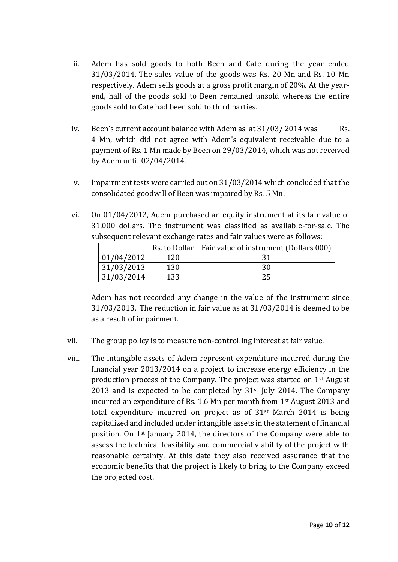- iii. Adem has sold goods to both Been and Cate during the year ended 31/03/2014. The sales value of the goods was Rs. 20 Mn and Rs. 10 Mn respectively. Adem sells goods at a gross profit margin of 20%. At the yearend, half of the goods sold to Been remained unsold whereas the entire goods sold to Cate had been sold to third parties.
- iv. Been's current account balance with Adem as  $at$  31/03/2014 was Rs. 4 Mn, which did not agree with Adem's equivalent receivable due to a payment of Rs. 1 Mn made by Been on 29/03/2014, which was not received by Adem until 02/04/2014.
- v. Impairment tests were carried out on 31/03/2014 which concluded that the consolidated goodwill of Been was impaired by Rs. 5 Mn.
- vi. On 01/04/2012, Adem purchased an equity instrument at its fair value of 31,000 dollars. The instrument was classified as available-for-sale. The subsequent relevant exchange rates and fair values were as follows:

|            |     | Rs. to Dollar   Fair value of instrument (Dollars 000) |
|------------|-----|--------------------------------------------------------|
| 01/04/2012 | 120 |                                                        |
| 31/03/2013 | 130 | 30                                                     |
| 31/03/2014 | 133 | 25                                                     |

Adem has not recorded any change in the value of the instrument since 31/03/2013. The reduction in fair value as at 31/03/2014 is deemed to be as a result of impairment.

- vii. The group policy is to measure non-controlling interest at fair value.
- viii. The intangible assets of Adem represent expenditure incurred during the financial year 2013/2014 on a project to increase energy efficiency in the production process of the Company. The project was started on 1st August 2013 and is expected to be completed by  $31<sup>st</sup>$  July 2014. The Company incurred an expenditure of Rs. 1.6 Mn per month from 1st August 2013 and total expenditure incurred on project as of  $31<sup>st</sup>$  March 2014 is being capitalized and included under intangible assets in the statement of financial position. On 1st January 2014, the directors of the Company were able to assess the technical feasibility and commercial viability of the project with reasonable certainty. At this date they also received assurance that the economic benefits that the project is likely to bring to the Company exceed the projected cost.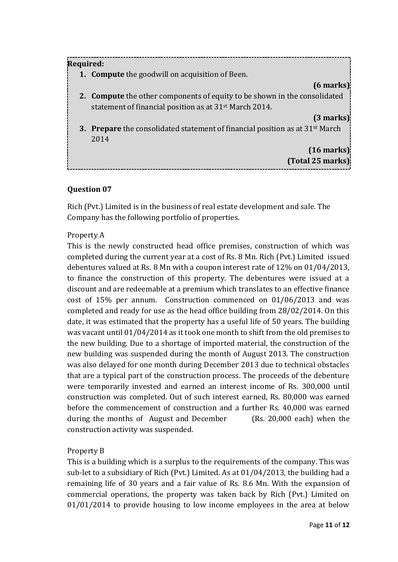#### **Required:**

- **1. Compute** the goodwill on acquisition of Been.
- **(6 marks) 2. Compute** the other components of equity to be shown in the consolidated statement of financial position as at 31st March 2014.
- **3. Prepare** the consolidated statement of financial position as at 31st March 2014

**(16 marks) (Total 25 marks)**

**(3 marks)**

## **Question 07**

Rich (Pvt.) Limited is in the business of real estate development and sale. The Company has the following portfolio of properties.

#### Property A

This is the newly constructed head office premises, construction of which was completed during the current year at a cost of Rs. 8 Mn. Rich (Pvt.) Limited issued debentures valued at Rs. 8 Mn with a coupon interest rate of 12% on 01/04/2013, to finance the construction of this property. The debentures were issued at a discount and are redeemable at a premium which translates to an effective finance cost of 15% per annum. Construction commenced on 01/06/2013 and was completed and ready for use as the head office building from 28/02/2014. On this date, it was estimated that the property has a useful life of 50 years. The building was vacant until 01/04/2014 as it took one month to shift from the old premises to the new building. Due to a shortage of imported material, the construction of the new building was suspended during the month of August 2013. The construction was also delayed for one month during December 2013 due to technical obstacles that are a typical part of the construction process. The proceeds of the debenture were temporarily invested and earned an interest income of Rs. 300,000 until construction was completed. Out of such interest earned, Rs. 80,000 was earned before the commencement of construction and a further Rs. 40,000 was earned during the months of August and December (Rs. 20,000 each) when the construction activity was suspended.

#### Property B

This is a building which is a surplus to the requirements of the company. This was sub-let to a subsidiary of Rich (Pvt.) Limited. As at 01/04/2013, the building had a remaining life of 30 years and a fair value of Rs. 8.6 Mn. With the expansion of commercial operations, the property was taken back by Rich (Pvt.) Limited on 01/01/2014 to provide housing to low income employees in the area at below